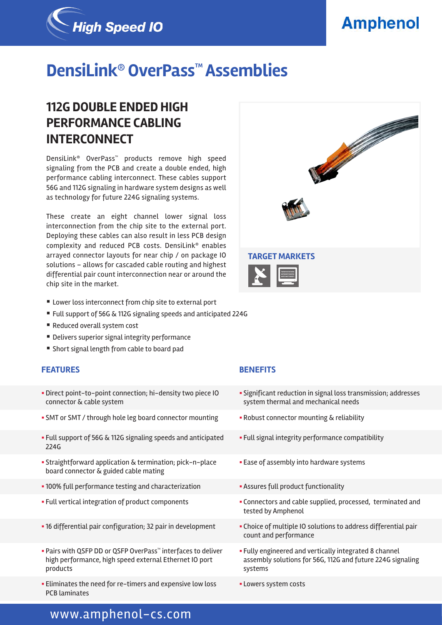# **Amphenol**



# **DensiLink® OverPass™ Assemblies**

## **112G DOUBLE ENDED HIGH PERFORMANCE CABLING INTERCONNECT**

DensiLink® OverPass™ products remove high speed signaling from the PCB and create a double ended, high performance cabling interconnect. These cables support 56G and 112G signaling in hardware system designs as well as technology for future 224G signaling systems.

These create an eight channel lower signal loss interconnection from the chip site to the external port. Deploying these cables can also result in less PCB design complexity and reduced PCB costs. DensiLink® enables arrayed connector layouts for near chip / on package IO solutions – allows for cascaded cable routing and highest differential pair count interconnection near or around the chip site in the market.

- Lower loss interconnect from chip site to external port
- Full support of 56G & 112G signaling speeds and anticipated 224G
- Reduced overall system cost
- Delivers superior signal integrity performance
- Short signal length from cable to board pad

#### **FEATURES BENEFITS**

- § Direct point-to-point connection; hi-density two piece IO connector & cable system
- SMT or SMT / through hole leg board connector mounting Robust connector mounting & reliability
- § Full support of 56G & 112G signaling speeds and anticipated 224G
- § Straightforward application & termination; pick-n-place board connector & guided cable mating
- 100% full performance testing and characterization  **Assures full product functionality**
- 
- 
- Pairs with QSFP DD or QSFP OverPass™ interfaces to deliver high performance, high speed external Ethernet IO port products
- **Eliminates the need for re-timers and expensive low loss** PCB laminates



- § Significant reduction in signal loss transmission; addresses system thermal and mechanical needs
- 
- **Full signal integrity performance compatibility**
- **Ease of assembly into hardware systems**
- 
- § Full vertical integration of product components § Connectors and cable supplied, processed, terminated and tested by Amphenol
- 16 differential pair configuration; 32 pair in development Choice of multiple IO solutions to address differential pair count and performance
	- § Fully engineered and vertically integrated 8 channel assembly solutions for 56G, 112G and future 224G signaling systems
	- § Lowers system costs

### www.amphenol-cs.com